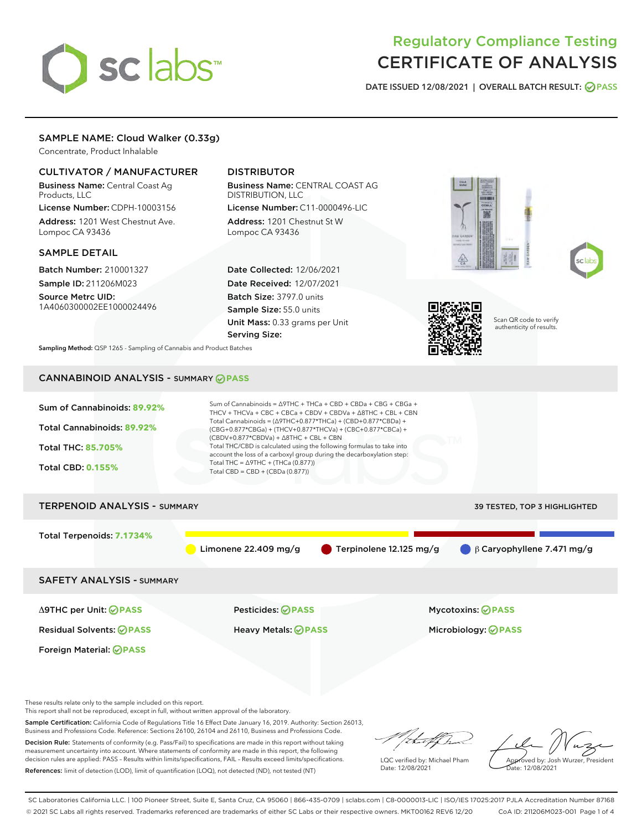# sclabs

# Regulatory Compliance Testing CERTIFICATE OF ANALYSIS

DATE ISSUED 12/08/2021 | OVERALL BATCH RESULT: @ PASS

# SAMPLE NAME: Cloud Walker (0.33g)

Concentrate, Product Inhalable

# CULTIVATOR / MANUFACTURER

Business Name: Central Coast Ag Products, LLC License Number: CDPH-10003156

Address: 1201 West Chestnut Ave. Lompoc CA 93436

## SAMPLE DETAIL

Batch Number: 210001327 Sample ID: 211206M023

Source Metrc UID: 1A4060300002EE1000024496

# DISTRIBUTOR

Business Name: CENTRAL COAST AG DISTRIBUTION, LLC License Number: C11-0000496-LIC

Address: 1201 Chestnut St W Lompoc CA 93436

Date Collected: 12/06/2021 Date Received: 12/07/2021 Batch Size: 3797.0 units Sample Size: 55.0 units Unit Mass: 0.33 grams per Unit Serving Size:







Scan QR code to verify authenticity of results.

Sampling Method: QSP 1265 - Sampling of Cannabis and Product Batches

# CANNABINOID ANALYSIS - SUMMARY **PASS**



These results relate only to the sample included on this report.

This report shall not be reproduced, except in full, without written approval of the laboratory.

Sample Certification: California Code of Regulations Title 16 Effect Date January 16, 2019. Authority: Section 26013, Business and Professions Code. Reference: Sections 26100, 26104 and 26110, Business and Professions Code.

Decision Rule: Statements of conformity (e.g. Pass/Fail) to specifications are made in this report without taking measurement uncertainty into account. Where statements of conformity are made in this report, the following decision rules are applied: PASS – Results within limits/specifications, FAIL – Results exceed limits/specifications. References: limit of detection (LOD), limit of quantification (LOQ), not detected (ND), not tested (NT)

that f

LQC verified by: Michael Pham Date: 12/08/2021

Approved by: Josh Wurzer, President ate: 12/08/2021

SC Laboratories California LLC. | 100 Pioneer Street, Suite E, Santa Cruz, CA 95060 | 866-435-0709 | sclabs.com | C8-0000013-LIC | ISO/IES 17025:2017 PJLA Accreditation Number 87168 © 2021 SC Labs all rights reserved. Trademarks referenced are trademarks of either SC Labs or their respective owners. MKT00162 REV6 12/20 CoA ID: 211206M023-001 Page 1 of 4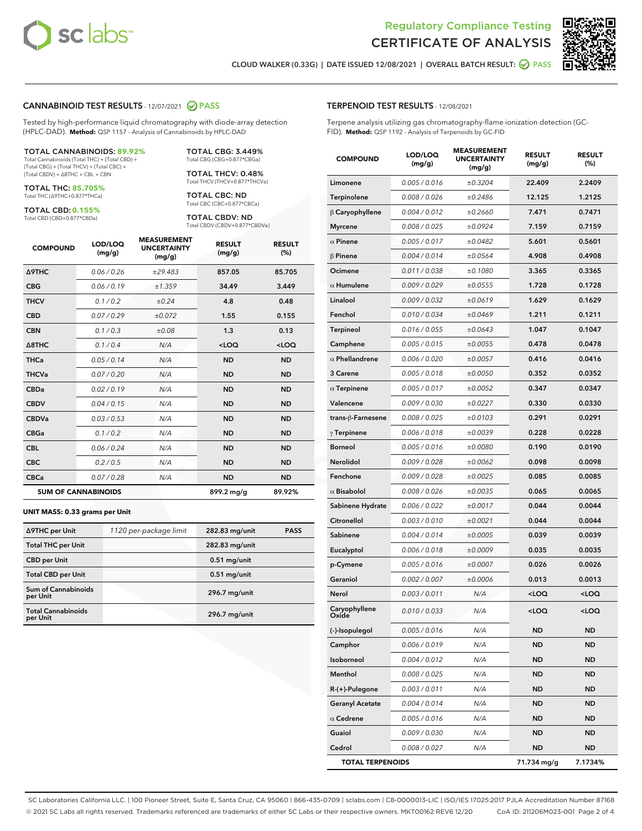

Terpene analysis utilizing gas chromatography-flame ionization detection (GC-

MEASUREMENT



**RESULT** 

**RESULT** 

CLOUD WALKER (0.33G) | DATE ISSUED 12/08/2021 | OVERALL BATCH RESULT: 2 PASS

TERPENOID TEST RESULTS - 12/08/2021

FID). **Method:** QSP 1192 - Analysis of Terpenoids by GC-FID LOD/LOO

#### CANNABINOID TEST RESULTS - 12/07/2021 2 PASS

Tested by high-performance liquid chromatography with diode-array detection (HPLC-DAD). **Method:** QSP 1157 - Analysis of Cannabinoids by HPLC-DAD

#### TOTAL CANNABINOIDS: **89.92%**

Total Cannabinoids (Total THC) + (Total CBD) + (Total CBG) + (Total THCV) + (Total CBC) + (Total CBDV) + ∆8THC + CBL + CBN

TOTAL THC: **85.705%** Total THC (∆9THC+0.877\*THCa)

TOTAL CBD: **0.155%** Total CBD (CBD+0.877\*CBDa)

TOTAL CBG: 3.449% Total CBG (CBG+0.877\*CBGa)

TOTAL THCV: 0.48% Total THCV (THCV+0.877\*THCVa)

TOTAL CBC: ND Total CBC (CBC+0.877\*CBCa)

TOTAL CBDV: ND Total CBDV (CBDV+0.877\*CBDVa)

| <b>COMPOUND</b>  | LOD/LOQ<br>(mg/g)          | <b>MEASUREMENT</b><br><b>UNCERTAINTY</b><br>(mg/g) | <b>RESULT</b><br>(mg/g) | <b>RESULT</b><br>(%) |
|------------------|----------------------------|----------------------------------------------------|-------------------------|----------------------|
| <b>A9THC</b>     | 0.06 / 0.26                | ±29.483                                            | 857.05                  | 85.705               |
| <b>CBG</b>       | 0.06/0.19                  | ±1.359                                             | 34.49                   | 3.449                |
| <b>THCV</b>      | 0.1 / 0.2                  | ±0.24                                              | 4.8                     | 0.48                 |
| <b>CBD</b>       | 0.07/0.29                  | ±0.072                                             | 1.55                    | 0.155                |
| <b>CBN</b>       | 0.1/0.3                    | ±0.08                                              | 1.3                     | 0.13                 |
| $\triangle$ 8THC | 0.1 / 0.4                  | N/A                                                | $<$ LOQ                 | <loq< th=""></loq<>  |
| THCa             | 0.05/0.14                  | N/A                                                | <b>ND</b>               | <b>ND</b>            |
| <b>THCVa</b>     | 0.07/0.20                  | N/A                                                | <b>ND</b>               | <b>ND</b>            |
| <b>CBDa</b>      | 0.02/0.19                  | N/A                                                | <b>ND</b>               | <b>ND</b>            |
| <b>CBDV</b>      | 0.04 / 0.15                | N/A                                                | <b>ND</b>               | <b>ND</b>            |
| <b>CBDVa</b>     | 0.03/0.53                  | N/A                                                | <b>ND</b>               | <b>ND</b>            |
| <b>CBGa</b>      | 0.1 / 0.2                  | N/A                                                | <b>ND</b>               | <b>ND</b>            |
| <b>CBL</b>       | 0.06 / 0.24                | N/A                                                | <b>ND</b>               | <b>ND</b>            |
| <b>CBC</b>       | 0.2 / 0.5                  | N/A                                                | <b>ND</b>               | <b>ND</b>            |
| <b>CBCa</b>      | 0.07/0.28                  | N/A                                                | <b>ND</b>               | <b>ND</b>            |
|                  | <b>SUM OF CANNABINOIDS</b> |                                                    | 899.2 mg/g              | 89.92%               |

#### **UNIT MASS: 0.33 grams per Unit**

| ∆9THC per Unit                        | 1120 per-package limit | 282.83 mg/unit | <b>PASS</b> |
|---------------------------------------|------------------------|----------------|-------------|
| <b>Total THC per Unit</b>             |                        | 282.83 mg/unit |             |
| <b>CBD</b> per Unit                   |                        | $0.51$ mg/unit |             |
| <b>Total CBD per Unit</b>             |                        | $0.51$ mg/unit |             |
| Sum of Cannabinoids<br>per Unit       |                        | 296.7 mg/unit  |             |
| <b>Total Cannabinoids</b><br>per Unit |                        | 296.7 mg/unit  |             |

| <b>COMPOUND</b>        | (mg/g)        | <b>UNCERTAINTY</b><br>(mg/g) | (mg/g)                                           | (%)                 |
|------------------------|---------------|------------------------------|--------------------------------------------------|---------------------|
| Limonene               | 0.005 / 0.016 | ±0.3204                      | 22.409                                           | 2.2409              |
| Terpinolene            | 0.008 / 0.026 | ±0.2486                      | 12.125                                           | 1.2125              |
| $\beta$ Caryophyllene  | 0.004 / 0.012 | ±0.2660                      | 7.471                                            | 0.7471              |
| <b>Myrcene</b>         | 0.008 / 0.025 | ±0.0924                      | 7.159                                            | 0.7159              |
| $\alpha$ Pinene        | 0.005 / 0.017 | ±0.0482                      | 5.601                                            | 0.5601              |
| $\beta$ Pinene         | 0.004 / 0.014 | ±0.0564                      | 4.908                                            | 0.4908              |
| Ocimene                | 0.011 / 0.038 | ±0.1080                      | 3.365                                            | 0.3365              |
| $\alpha$ Humulene      | 0.009/0.029   | ±0.0555                      | 1.728                                            | 0.1728              |
| Linalool               | 0.009 / 0.032 | ±0.0619                      | 1.629                                            | 0.1629              |
| Fenchol                | 0.010 / 0.034 | ±0.0469                      | 1.211                                            | 0.1211              |
| <b>Terpineol</b>       | 0.016 / 0.055 | ±0.0643                      | 1.047                                            | 0.1047              |
| Camphene               | 0.005 / 0.015 | ±0.0055                      | 0.478                                            | 0.0478              |
| $\alpha$ Phellandrene  | 0.006 / 0.020 | ±0.0057                      | 0.416                                            | 0.0416              |
| 3 Carene               | 0.005 / 0.018 | ±0.0050                      | 0.352                                            | 0.0352              |
| $\alpha$ Terpinene     | 0.005 / 0.017 | ±0.0052                      | 0.347                                            | 0.0347              |
| Valencene              | 0.009 / 0.030 | ±0.0227                      | 0.330                                            | 0.0330              |
| trans-ß-Farnesene      | 0.008 / 0.025 | ±0.0103                      | 0.291                                            | 0.0291              |
| $\gamma$ Terpinene     | 0.006 / 0.018 | ±0.0039                      | 0.228                                            | 0.0228              |
| <b>Borneol</b>         | 0.005 / 0.016 | ±0.0080                      | 0.190                                            | 0.0190              |
| Nerolidol              | 0.009 / 0.028 | ±0.0062                      | 0.098                                            | 0.0098              |
| Fenchone               | 0.009 / 0.028 | ±0.0025                      | 0.085                                            | 0.0085              |
| $\alpha$ Bisabolol     | 0.008 / 0.026 | ±0.0035                      | 0.065                                            | 0.0065              |
| Sabinene Hydrate       | 0.006 / 0.022 | ±0.0017                      | 0.044                                            | 0.0044              |
| Citronellol            | 0.003 / 0.010 | ±0.0021                      | 0.044                                            | 0.0044              |
| Sabinene               | 0.004 / 0.014 | ±0.0005                      | 0.039                                            | 0.0039              |
| Eucalyptol             | 0.006 / 0.018 | ±0.0009                      | 0.035                                            | 0.0035              |
| p-Cymene               | 0.005 / 0.016 | ±0.0007                      | 0.026                                            | 0.0026              |
| Geraniol               | 0.002 / 0.007 | ±0.0006                      | 0.013                                            | 0.0013              |
| Nerol                  | 0.003 / 0.011 | N/A                          | <loq< th=""><th><math>&lt;</math>LOQ</th></loq<> | $<$ LOQ             |
| Caryophyllene<br>Oxide | 0.010 / 0.033 | N/A                          | <loq< th=""><th><loq< th=""></loq<></th></loq<>  | <loq< th=""></loq<> |
| (-)-Isopulegol         | 0.005 / 0.016 | N/A                          | <b>ND</b>                                        | <b>ND</b>           |
| Camphor                | 0.006 / 0.019 | N/A                          | <b>ND</b>                                        | <b>ND</b>           |

Isoborneol 0.004 / 0.012 N/A ND ND Menthol 0.008 / 0.025 N/A ND ND R-(+)-Pulegone 0.003 / 0.011 N/A ND ND Geranyl Acetate 0.004/0.014 N/A ND ND  $\alpha$  Cedrene  $0.005 / 0.016$  N/A ND ND **Guaiol 0.009/0.030 N/A ND ND** Cedrol 0.008 / 0.027 N/A ND ND TOTAL TERPENOIDS 71.734 mg/g 7.1734%

SC Laboratories California LLC. | 100 Pioneer Street, Suite E, Santa Cruz, CA 95060 | 866-435-0709 | sclabs.com | C8-0000013-LIC | ISO/IES 17025:2017 PJLA Accreditation Number 87168 © 2021 SC Labs all rights reserved. Trademarks referenced are trademarks of either SC Labs or their respective owners. MKT00162 REV6 12/20 CoA ID: 211206M023-001 Page 2 of 4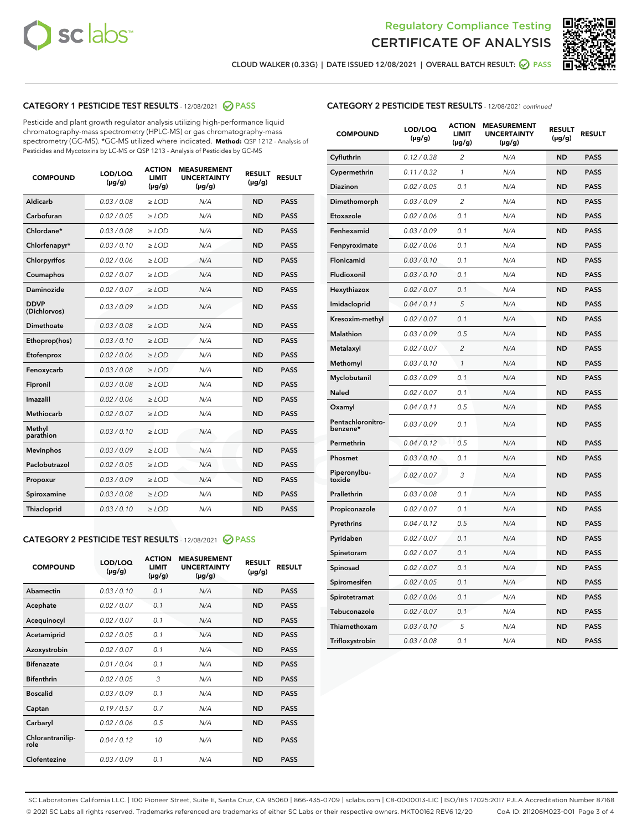



CLOUD WALKER (0.33G) | DATE ISSUED 12/08/2021 | OVERALL BATCH RESULT: @ PASS

# CATEGORY 1 PESTICIDE TEST RESULTS - 12/08/2021 2 PASS

Pesticide and plant growth regulator analysis utilizing high-performance liquid chromatography-mass spectrometry (HPLC-MS) or gas chromatography-mass spectrometry (GC-MS). \*GC-MS utilized where indicated. **Method:** QSP 1212 - Analysis of Pesticides and Mycotoxins by LC-MS or QSP 1213 - Analysis of Pesticides by GC-MS

| 0.03 / 0.08<br><b>ND</b><br><b>PASS</b><br>Aldicarb<br>$\ge$ LOD<br>N/A<br>Carbofuran<br><b>ND</b><br>0.02 / 0.05<br>$\ge$ LOD<br>N/A<br><b>PASS</b><br>Chlordane*<br>0.03 / 0.08<br>$\ge$ LOD<br>N/A<br><b>ND</b><br><b>PASS</b><br>Chlorfenapyr*<br>0.03/0.10<br>$\ge$ LOD<br>N/A<br><b>ND</b><br><b>PASS</b><br>Chlorpyrifos<br>0.02 / 0.06<br>N/A<br><b>ND</b><br><b>PASS</b><br>$\ge$ LOD<br>Coumaphos<br>0.02 / 0.07<br>N/A<br><b>ND</b><br><b>PASS</b><br>$\ge$ LOD<br>Daminozide<br>0.02 / 0.07<br>N/A<br><b>ND</b><br><b>PASS</b><br>$\ge$ LOD<br><b>DDVP</b><br>0.03/0.09<br>$>$ LOD<br>N/A<br><b>ND</b><br><b>PASS</b><br>(Dichlorvos)<br>Dimethoate<br>0.03 / 0.08<br>$\ge$ LOD<br><b>ND</b><br><b>PASS</b><br>N/A<br>0.03/0.10<br>N/A<br><b>ND</b><br><b>PASS</b><br>Ethoprop(hos)<br>$>$ LOD<br>N/A<br><b>ND</b><br><b>PASS</b><br>Etofenprox<br>0.02 / 0.06<br>$\ge$ LOD<br>Fenoxycarb<br>0.03 / 0.08<br>$\ge$ LOD<br>N/A<br><b>ND</b><br><b>PASS</b><br>0.03 / 0.08<br>$\ge$ LOD<br>N/A<br><b>ND</b><br><b>PASS</b><br>Fipronil<br>Imazalil<br>0.02 / 0.06<br>$\geq$ LOD<br>N/A<br><b>ND</b><br><b>PASS</b><br><b>Methiocarb</b><br>0.02 / 0.07<br>$\ge$ LOD<br>N/A<br><b>ND</b><br><b>PASS</b><br>Methyl<br>0.03/0.10<br>N/A<br><b>ND</b><br><b>PASS</b><br>$\ge$ LOD<br>parathion<br>0.03/0.09<br><b>Mevinphos</b><br>$\ge$ LOD<br>N/A<br><b>ND</b><br><b>PASS</b><br>Paclobutrazol<br>0.02 / 0.05<br>$>$ LOD<br>N/A<br><b>ND</b><br><b>PASS</b><br>0.03 / 0.09<br>N/A<br>$\ge$ LOD<br><b>ND</b><br><b>PASS</b><br>Propoxur<br>0.03 / 0.08<br><b>ND</b><br><b>PASS</b><br>Spiroxamine<br>$\ge$ LOD<br>N/A<br>Thiacloprid<br>0.03/0.10<br>$\ge$ LOD<br>N/A<br><b>ND</b><br><b>PASS</b> | <b>COMPOUND</b> | LOD/LOQ<br>$(\mu g/g)$ | <b>ACTION</b><br><b>LIMIT</b><br>$(\mu g/g)$ | <b>MEASUREMENT</b><br><b>UNCERTAINTY</b><br>$(\mu g/g)$ | <b>RESULT</b><br>$(\mu g/g)$ | <b>RESULT</b> |
|---------------------------------------------------------------------------------------------------------------------------------------------------------------------------------------------------------------------------------------------------------------------------------------------------------------------------------------------------------------------------------------------------------------------------------------------------------------------------------------------------------------------------------------------------------------------------------------------------------------------------------------------------------------------------------------------------------------------------------------------------------------------------------------------------------------------------------------------------------------------------------------------------------------------------------------------------------------------------------------------------------------------------------------------------------------------------------------------------------------------------------------------------------------------------------------------------------------------------------------------------------------------------------------------------------------------------------------------------------------------------------------------------------------------------------------------------------------------------------------------------------------------------------------------------------------------------------------------------------------------------------------------------------------------------------------------------------|-----------------|------------------------|----------------------------------------------|---------------------------------------------------------|------------------------------|---------------|
|                                                                                                                                                                                                                                                                                                                                                                                                                                                                                                                                                                                                                                                                                                                                                                                                                                                                                                                                                                                                                                                                                                                                                                                                                                                                                                                                                                                                                                                                                                                                                                                                                                                                                                         |                 |                        |                                              |                                                         |                              |               |
|                                                                                                                                                                                                                                                                                                                                                                                                                                                                                                                                                                                                                                                                                                                                                                                                                                                                                                                                                                                                                                                                                                                                                                                                                                                                                                                                                                                                                                                                                                                                                                                                                                                                                                         |                 |                        |                                              |                                                         |                              |               |
|                                                                                                                                                                                                                                                                                                                                                                                                                                                                                                                                                                                                                                                                                                                                                                                                                                                                                                                                                                                                                                                                                                                                                                                                                                                                                                                                                                                                                                                                                                                                                                                                                                                                                                         |                 |                        |                                              |                                                         |                              |               |
|                                                                                                                                                                                                                                                                                                                                                                                                                                                                                                                                                                                                                                                                                                                                                                                                                                                                                                                                                                                                                                                                                                                                                                                                                                                                                                                                                                                                                                                                                                                                                                                                                                                                                                         |                 |                        |                                              |                                                         |                              |               |
|                                                                                                                                                                                                                                                                                                                                                                                                                                                                                                                                                                                                                                                                                                                                                                                                                                                                                                                                                                                                                                                                                                                                                                                                                                                                                                                                                                                                                                                                                                                                                                                                                                                                                                         |                 |                        |                                              |                                                         |                              |               |
|                                                                                                                                                                                                                                                                                                                                                                                                                                                                                                                                                                                                                                                                                                                                                                                                                                                                                                                                                                                                                                                                                                                                                                                                                                                                                                                                                                                                                                                                                                                                                                                                                                                                                                         |                 |                        |                                              |                                                         |                              |               |
|                                                                                                                                                                                                                                                                                                                                                                                                                                                                                                                                                                                                                                                                                                                                                                                                                                                                                                                                                                                                                                                                                                                                                                                                                                                                                                                                                                                                                                                                                                                                                                                                                                                                                                         |                 |                        |                                              |                                                         |                              |               |
|                                                                                                                                                                                                                                                                                                                                                                                                                                                                                                                                                                                                                                                                                                                                                                                                                                                                                                                                                                                                                                                                                                                                                                                                                                                                                                                                                                                                                                                                                                                                                                                                                                                                                                         |                 |                        |                                              |                                                         |                              |               |
|                                                                                                                                                                                                                                                                                                                                                                                                                                                                                                                                                                                                                                                                                                                                                                                                                                                                                                                                                                                                                                                                                                                                                                                                                                                                                                                                                                                                                                                                                                                                                                                                                                                                                                         |                 |                        |                                              |                                                         |                              |               |
|                                                                                                                                                                                                                                                                                                                                                                                                                                                                                                                                                                                                                                                                                                                                                                                                                                                                                                                                                                                                                                                                                                                                                                                                                                                                                                                                                                                                                                                                                                                                                                                                                                                                                                         |                 |                        |                                              |                                                         |                              |               |
|                                                                                                                                                                                                                                                                                                                                                                                                                                                                                                                                                                                                                                                                                                                                                                                                                                                                                                                                                                                                                                                                                                                                                                                                                                                                                                                                                                                                                                                                                                                                                                                                                                                                                                         |                 |                        |                                              |                                                         |                              |               |
|                                                                                                                                                                                                                                                                                                                                                                                                                                                                                                                                                                                                                                                                                                                                                                                                                                                                                                                                                                                                                                                                                                                                                                                                                                                                                                                                                                                                                                                                                                                                                                                                                                                                                                         |                 |                        |                                              |                                                         |                              |               |
|                                                                                                                                                                                                                                                                                                                                                                                                                                                                                                                                                                                                                                                                                                                                                                                                                                                                                                                                                                                                                                                                                                                                                                                                                                                                                                                                                                                                                                                                                                                                                                                                                                                                                                         |                 |                        |                                              |                                                         |                              |               |
|                                                                                                                                                                                                                                                                                                                                                                                                                                                                                                                                                                                                                                                                                                                                                                                                                                                                                                                                                                                                                                                                                                                                                                                                                                                                                                                                                                                                                                                                                                                                                                                                                                                                                                         |                 |                        |                                              |                                                         |                              |               |
|                                                                                                                                                                                                                                                                                                                                                                                                                                                                                                                                                                                                                                                                                                                                                                                                                                                                                                                                                                                                                                                                                                                                                                                                                                                                                                                                                                                                                                                                                                                                                                                                                                                                                                         |                 |                        |                                              |                                                         |                              |               |
|                                                                                                                                                                                                                                                                                                                                                                                                                                                                                                                                                                                                                                                                                                                                                                                                                                                                                                                                                                                                                                                                                                                                                                                                                                                                                                                                                                                                                                                                                                                                                                                                                                                                                                         |                 |                        |                                              |                                                         |                              |               |
|                                                                                                                                                                                                                                                                                                                                                                                                                                                                                                                                                                                                                                                                                                                                                                                                                                                                                                                                                                                                                                                                                                                                                                                                                                                                                                                                                                                                                                                                                                                                                                                                                                                                                                         |                 |                        |                                              |                                                         |                              |               |
|                                                                                                                                                                                                                                                                                                                                                                                                                                                                                                                                                                                                                                                                                                                                                                                                                                                                                                                                                                                                                                                                                                                                                                                                                                                                                                                                                                                                                                                                                                                                                                                                                                                                                                         |                 |                        |                                              |                                                         |                              |               |
|                                                                                                                                                                                                                                                                                                                                                                                                                                                                                                                                                                                                                                                                                                                                                                                                                                                                                                                                                                                                                                                                                                                                                                                                                                                                                                                                                                                                                                                                                                                                                                                                                                                                                                         |                 |                        |                                              |                                                         |                              |               |
|                                                                                                                                                                                                                                                                                                                                                                                                                                                                                                                                                                                                                                                                                                                                                                                                                                                                                                                                                                                                                                                                                                                                                                                                                                                                                                                                                                                                                                                                                                                                                                                                                                                                                                         |                 |                        |                                              |                                                         |                              |               |
|                                                                                                                                                                                                                                                                                                                                                                                                                                                                                                                                                                                                                                                                                                                                                                                                                                                                                                                                                                                                                                                                                                                                                                                                                                                                                                                                                                                                                                                                                                                                                                                                                                                                                                         |                 |                        |                                              |                                                         |                              |               |

#### CATEGORY 2 PESTICIDE TEST RESULTS - 12/08/2021 @ PASS

| <b>COMPOUND</b>          | LOD/LOO<br>$(\mu g/g)$ | <b>ACTION</b><br>LIMIT<br>$(\mu g/g)$ | <b>MEASUREMENT</b><br><b>UNCERTAINTY</b><br>$(\mu g/g)$ | <b>RESULT</b><br>$(\mu g/g)$ | <b>RESULT</b> |  |
|--------------------------|------------------------|---------------------------------------|---------------------------------------------------------|------------------------------|---------------|--|
| Abamectin                | 0.03/0.10              | 0.1                                   | N/A                                                     | <b>ND</b>                    | <b>PASS</b>   |  |
| Acephate                 | 0.02/0.07              | 0.1                                   | N/A                                                     | <b>ND</b>                    | <b>PASS</b>   |  |
| Acequinocyl              | 0.02/0.07              | 0.1                                   | N/A                                                     | <b>ND</b>                    | <b>PASS</b>   |  |
| Acetamiprid              | 0.02/0.05              | 0.1                                   | N/A                                                     | <b>ND</b>                    | <b>PASS</b>   |  |
| Azoxystrobin             | 0.02/0.07              | 0.1                                   | N/A                                                     | <b>ND</b>                    | <b>PASS</b>   |  |
| <b>Bifenazate</b>        | 0.01/0.04              | 0.1                                   | N/A                                                     | <b>ND</b>                    | <b>PASS</b>   |  |
| <b>Bifenthrin</b>        | 0.02/0.05              | 3                                     | N/A                                                     | <b>ND</b>                    | <b>PASS</b>   |  |
| <b>Boscalid</b>          | 0.03/0.09              | 0.1                                   | N/A                                                     | <b>ND</b>                    | <b>PASS</b>   |  |
| Captan                   | 0.19/0.57              | 0.7                                   | N/A                                                     | <b>ND</b>                    | <b>PASS</b>   |  |
| Carbaryl                 | 0.02 / 0.06            | 0.5                                   | N/A                                                     | <b>ND</b>                    | <b>PASS</b>   |  |
| Chlorantranilip-<br>role | 0.04/0.12              | 10                                    | N/A                                                     | <b>ND</b>                    | <b>PASS</b>   |  |
| Clofentezine             | 0.03/0.09              | 0.1                                   | N/A                                                     | <b>ND</b>                    | <b>PASS</b>   |  |

# CATEGORY 2 PESTICIDE TEST RESULTS - 12/08/2021 continued

| <b>COMPOUND</b>               | LOD/LOQ<br>(µg/g) | <b>ACTION</b><br><b>LIMIT</b><br>$(\mu g/g)$ | <b>MEASUREMENT</b><br><b>UNCERTAINTY</b><br>$(\mu g/g)$ | <b>RESULT</b><br>(µg/g) | <b>RESULT</b> |
|-------------------------------|-------------------|----------------------------------------------|---------------------------------------------------------|-------------------------|---------------|
| Cyfluthrin                    | 0.12 / 0.38       | $\overline{c}$                               | N/A                                                     | <b>ND</b>               | <b>PASS</b>   |
| Cypermethrin                  | 0.11 / 0.32       | 1                                            | N/A                                                     | ND                      | <b>PASS</b>   |
| Diazinon                      | 0.02 / 0.05       | 0.1                                          | N/A                                                     | ND                      | <b>PASS</b>   |
| Dimethomorph                  | 0.03 / 0.09       | 2                                            | N/A                                                     | ND                      | <b>PASS</b>   |
| Etoxazole                     | 0.02 / 0.06       | 0.1                                          | N/A                                                     | <b>ND</b>               | <b>PASS</b>   |
| Fenhexamid                    | 0.03 / 0.09       | 0.1                                          | N/A                                                     | <b>ND</b>               | <b>PASS</b>   |
| Fenpyroximate                 | 0.02 / 0.06       | 0.1                                          | N/A                                                     | ND                      | <b>PASS</b>   |
| Flonicamid                    | 0.03 / 0.10       | 0.1                                          | N/A                                                     | ND                      | <b>PASS</b>   |
| Fludioxonil                   | 0.03 / 0.10       | 0.1                                          | N/A                                                     | <b>ND</b>               | <b>PASS</b>   |
| Hexythiazox                   | 0.02 / 0.07       | 0.1                                          | N/A                                                     | ND                      | <b>PASS</b>   |
| Imidacloprid                  | 0.04 / 0.11       | 5                                            | N/A                                                     | ND                      | <b>PASS</b>   |
| Kresoxim-methyl               | 0.02 / 0.07       | 0.1                                          | N/A                                                     | <b>ND</b>               | <b>PASS</b>   |
| <b>Malathion</b>              | 0.03 / 0.09       | 0.5                                          | N/A                                                     | ND                      | <b>PASS</b>   |
| Metalaxyl                     | 0.02 / 0.07       | $\overline{c}$                               | N/A                                                     | ND                      | <b>PASS</b>   |
| Methomyl                      | 0.03 / 0.10       | 1                                            | N/A                                                     | <b>ND</b>               | <b>PASS</b>   |
| Myclobutanil                  | 0.03 / 0.09       | 0.1                                          | N/A                                                     | ND                      | <b>PASS</b>   |
| Naled                         | 0.02 / 0.07       | 0.1                                          | N/A                                                     | ND                      | <b>PASS</b>   |
| Oxamyl                        | 0.04 / 0.11       | 0.5                                          | N/A                                                     | ND                      | <b>PASS</b>   |
| Pentachloronitro-<br>benzene* | 0.03 / 0.09       | 0.1                                          | N/A                                                     | ND                      | <b>PASS</b>   |
| Permethrin                    | 0.04 / 0.12       | 0.5                                          | N/A                                                     | <b>ND</b>               | <b>PASS</b>   |
| Phosmet                       | 0.03 / 0.10       | 0.1                                          | N/A                                                     | <b>ND</b>               | <b>PASS</b>   |
| Piperonylbu-<br>toxide        | 0.02 / 0.07       | 3                                            | N/A                                                     | ND                      | <b>PASS</b>   |
| Prallethrin                   | 0.03 / 0.08       | 0.1                                          | N/A                                                     | <b>ND</b>               | <b>PASS</b>   |
| Propiconazole                 | 0.02 / 0.07       | 0.1                                          | N/A                                                     | ND                      | <b>PASS</b>   |
| Pyrethrins                    | 0.04 / 0.12       | 0.5                                          | N/A                                                     | ND                      | <b>PASS</b>   |
| Pyridaben                     | 0.02 / 0.07       | 0.1                                          | N/A                                                     | ND                      | <b>PASS</b>   |
| Spinetoram                    | 0.02 / 0.07       | 0.1                                          | N/A                                                     | ND                      | <b>PASS</b>   |
| Spinosad                      | 0.02 / 0.07       | 0.1                                          | N/A                                                     | ND                      | <b>PASS</b>   |
| Spiromesifen                  | 0.02 / 0.05       | 0.1                                          | N/A                                                     | <b>ND</b>               | <b>PASS</b>   |
| Spirotetramat                 | 0.02 / 0.06       | 0.1                                          | N/A                                                     | ND                      | <b>PASS</b>   |
| Tebuconazole                  | 0.02 / 0.07       | 0.1                                          | N/A                                                     | ND                      | <b>PASS</b>   |
| Thiamethoxam                  | 0.03 / 0.10       | 5                                            | N/A                                                     | <b>ND</b>               | <b>PASS</b>   |
| Trifloxystrobin               | 0.03 / 0.08       | 0.1                                          | N/A                                                     | <b>ND</b>               | <b>PASS</b>   |

SC Laboratories California LLC. | 100 Pioneer Street, Suite E, Santa Cruz, CA 95060 | 866-435-0709 | sclabs.com | C8-0000013-LIC | ISO/IES 17025:2017 PJLA Accreditation Number 87168 © 2021 SC Labs all rights reserved. Trademarks referenced are trademarks of either SC Labs or their respective owners. MKT00162 REV6 12/20 CoA ID: 211206M023-001 Page 3 of 4